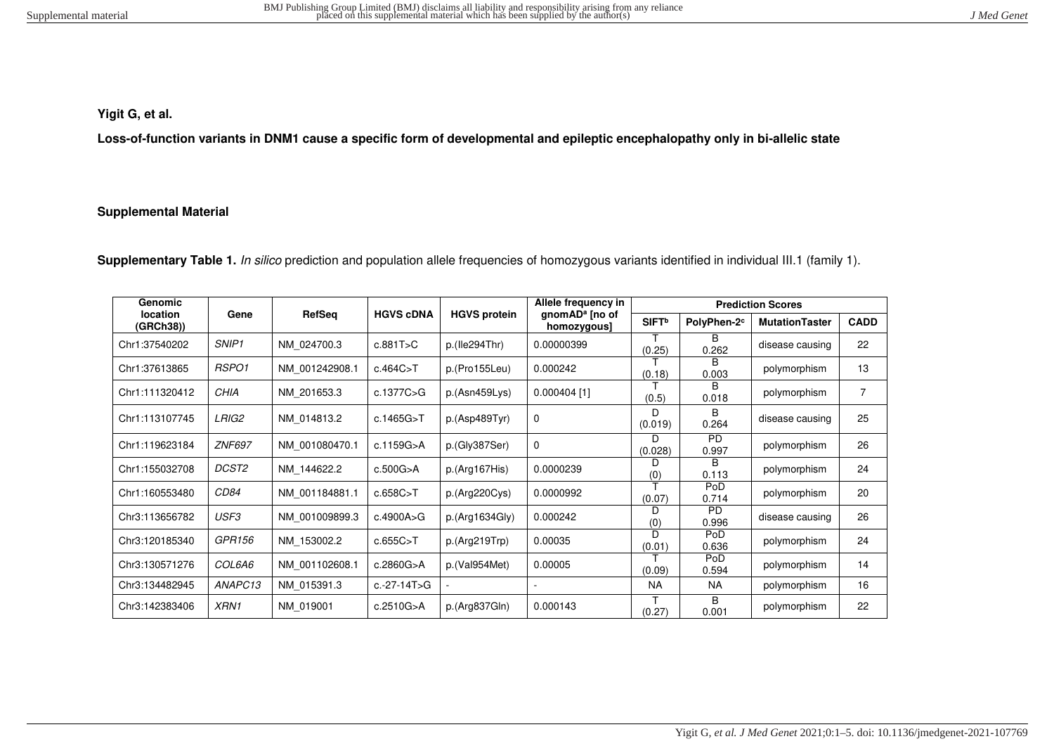# **Yigit G, et al.**

**Loss-of-function variants in DNM1 cause a specific form of developmental and epileptic encephalopathy only in bi-allelic state** 

### **Supplemental Material**

Supplementary Table 1. In silico prediction and population allele frequencies of homozygous variants identified in individual III.1 (family 1).

| Genomic               |                   |                |                  | Allele frequency in | <b>Prediction Scores</b>                  |                          |                         |                       |                |  |  |  |
|-----------------------|-------------------|----------------|------------------|---------------------|-------------------------------------------|--------------------------|-------------------------|-----------------------|----------------|--|--|--|
| location<br>(GRCh38)) | Gene              | RefSeq         | <b>HGVS cDNA</b> | <b>HGVS protein</b> | gnomAD <sup>a</sup> [no of<br>homozygous] | <b>SIFT</b> <sup>b</sup> | PolyPhen-2 <sup>c</sup> | <b>MutationTaster</b> | <b>CADD</b>    |  |  |  |
| Chr1:37540202         | SNIP <sub>1</sub> | NM 024700.3    | c.881T>C         | p.(Ile294Thr)       | 0.00000399                                | (0.25)                   | в<br>0.262              | disease causing       | 22             |  |  |  |
| Chr1:37613865         | RSPO1             | NM 001242908.1 | c.464C > T       | p.(Pro155Leu)       | 0.000242                                  | (0.18)                   | B<br>0.003              | polymorphism          | 13             |  |  |  |
| Chr1:111320412        | CHIA              | NM 201653.3    | c.1377C>G        | p.(Asn459Lys)       | $0.000404$ [1]                            | (0.5)                    | R.<br>0.018             | polymorphism          | $\overline{7}$ |  |  |  |
| Chr1:113107745        | LRIG2             | NM 014813.2    | c.1465G>T        | p.(Asp489Tyr)       | $\Omega$                                  | D<br>(0.019)             | B<br>0.264              | disease causing       | 25             |  |  |  |
| Chr1:119623184        | <b>ZNF697</b>     | NM 001080470.1 | c.1159G>A        | p.(Gly387Ser)       | $\Omega$                                  | D<br>(0.028)             | PD.<br>0.997            | polymorphism          | 26             |  |  |  |
| Chr1:155032708        | DCST2             | NM 144622.2    | c.500G > A       | p.(Arg167His)       | 0.0000239                                 | D<br>(0)                 | <sub>R</sub><br>0.113   | polymorphism          | 24             |  |  |  |
| Chr1:160553480        | <i>CD84</i>       | NM 001184881.1 | c.658C > T       | p.(Arg220Cys)       | 0.0000992                                 | (0.07)                   | PoD<br>0.714            | polymorphism          | 20             |  |  |  |
| Chr3:113656782        | USF3              | NM 001009899.3 | c.4900A>G        | p.(Arg1634Gly)      | 0.000242                                  | D<br>(0)                 | <b>PD</b><br>0.996      | disease causing       | 26             |  |  |  |
| Chr3:120185340        | GPR156            | NM 153002.2    | c.655C > T       | p.(Arg219Trp)       | 0.00035                                   | D<br>(0.01)              | PoD<br>0.636            | polymorphism          | 24             |  |  |  |
| Chr3:130571276        | <i>COL6A6</i>     | NM 001102608.1 | c.2860G > A      | p.(Val954Met)       | PoD<br>0.00005<br>(0.09)<br>0.594         |                          | polymorphism            | 14                    |                |  |  |  |
| Chr3:134482945        | ANAPC13           | NM 015391.3    | c.-27-14T>G      |                     |                                           | <b>NA</b>                | NA.                     | polymorphism          | 16             |  |  |  |
| Chr3:142383406        | XRN1              | NM 019001      | c.2510G>A        | p.(Arg837Gln)       | 0.000143                                  | (0.27)                   | B<br>0.001              | polymorphism          | 22             |  |  |  |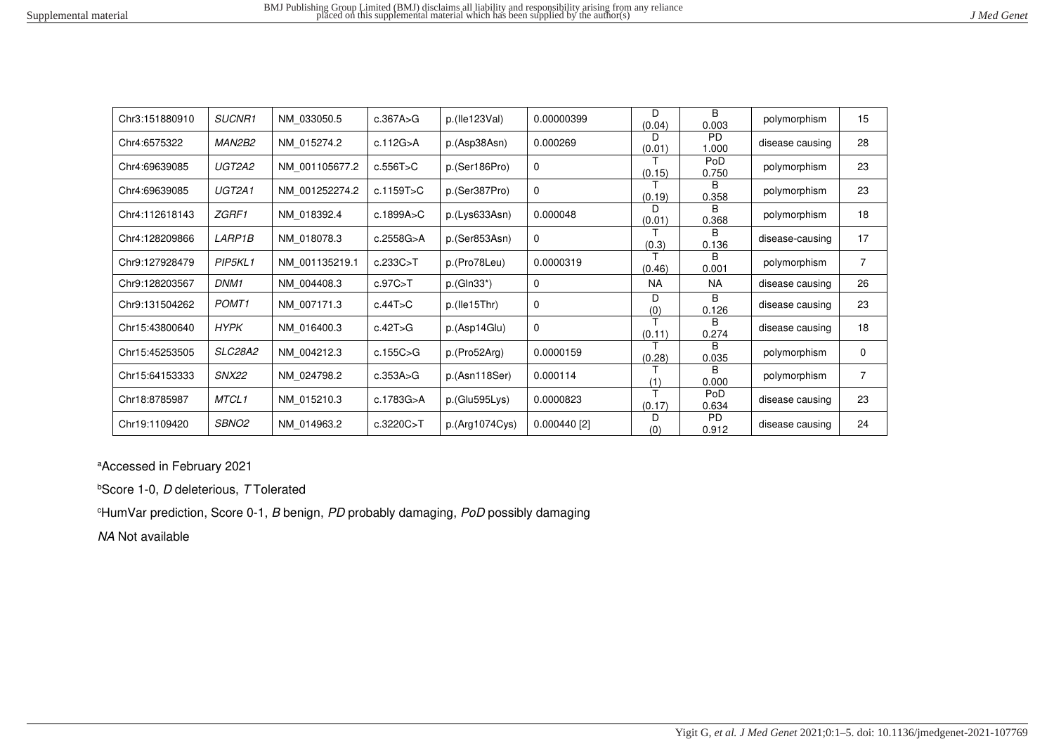| J Med Genet |
|-------------|
|-------------|

| Chr3:151880910 | SUCNR1            | NM 033050.5    | c.367A > G | p.(He123Val)   | 0.00000399     | D.<br>(0.04) | B.<br>0.003           | polymorphism    | 15             |
|----------------|-------------------|----------------|------------|----------------|----------------|--------------|-----------------------|-----------------|----------------|
| Chr4:6575322   | MAN2B2            | NM 015274.2    | c.112G > A | p.(Asp38Asn)   | 0.000269       | D<br>(0.01)  | <b>PD</b><br>1.000    | disease causing | 28             |
| Chr4:69639085  | UGT2A2            | NM 001105677.2 | c.556T>C   | p.(Ser186Pro)  | 0              | (0.15)       | PoD<br>0.750          | polymorphism    | 23             |
| Chr4:69639085  | UGT2A1            | NM 001252274.2 | c.1159T>C  | p.(Ser387Pro)  | $\Omega$       | (0.19)       | R<br>0.358            | polymorphism    | 23             |
| Chr4:112618143 | ZGRF1             | NM 018392.4    | c.1899A>C  | p.(Lys633Asn)  | 0.000048       | D<br>(0.01)  | B.<br>0.368           | polymorphism    | 18             |
| Chr4:128209866 | <i>LARP1B</i>     | NM 018078.3    | c.2558G>A  | p.(Ser853Asn)  | $\mathbf 0$    | (0.3)        | B.<br>0.136           | disease-causing | 17             |
| Chr9:127928479 | PIP5KL1           | NM 001135219.1 | c.233C > T | p.(Pro78Leu)   | 0.0000319      | (0.46)       | B.<br>0.001           | polymorphism    | $\overline{7}$ |
| Chr9:128203567 | DNM1              | NM 004408.3    | c.97C > T  | $p.(GIn33*)$   | $\mathbf 0$    | <b>NA</b>    | <b>NA</b>             | disease causing | 26             |
| Chr9:131504262 | POMT <sub>1</sub> | NM 007171.3    | c.44T>C    | p.(He15Thr)    | $\Omega$       | D<br>(0)     | B.<br>0.126           | disease causing | 23             |
| Chr15:43800640 | HYPK              | NM 016400.3    | c.42T>G    | p.(Asp14Glu)   | $\Omega$       | (0.11)       | B<br>0.274            | disease causing | 18             |
| Chr15:45253505 | SLC28A2           | NM 004212.3    | c.155C > G | p.(Pro52Arg)   | 0.0000159      | (0.28)       | B.<br>0.035           | polymorphism    | 0              |
| Chr15:64153333 | <b>SNX22</b>      | NM 024798.2    | c.353A>G   | p.(Asn118Ser)  | 0.000114       | (1)          | <sub>R</sub><br>0.000 | polymorphism    | $\overline{7}$ |
| Chr18:8785987  | MTCL1             | NM 015210.3    | c.1783G>A  | p.(Glu595Lys)  | 0.0000823      | т<br>(0.17)  | PoD<br>0.634          | disease causing | 23             |
| Chr19:1109420  | SBNO2             | NM 014963.2    | c.3220C>T  | p.(Arg1074Cys) | $0.000440$ [2] | D<br>(0)     | <b>PD</b><br>0.912    | disease causing | 24             |

<sup>a</sup>Accessed in February 2021

**bScore 1-0, D deleterious, T Tolerated** 

 $c$ HumVar prediction, Score 0-1, B benign, PD probably damaging, PoD possibly damaging

NA Not available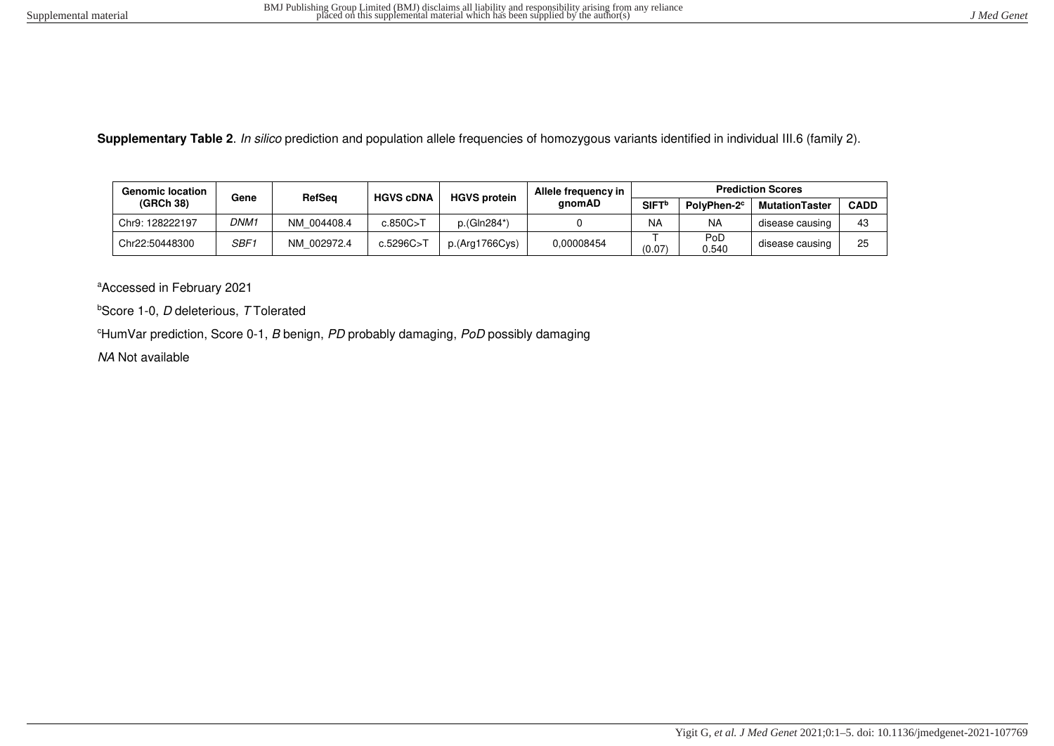**Supplementary Table 2**. In silico prediction and population allele frequencies of homozygous variants identified in individual III.6 (family 2).

| <b>Genomic location</b> | Gene          |             | <b>HGVS cDNA</b> | <b>HGVS protein</b> | Allele frequency in |                                              |              | <b>Prediction Scores</b> |             |
|-------------------------|---------------|-------------|------------------|---------------------|---------------------|----------------------------------------------|--------------|--------------------------|-------------|
| (GRCh 38)               | <b>RefSeg</b> |             |                  |                     | anomAD              | SIFT <sup>b</sup><br>PolvPhen-2 <sup>c</sup> |              | <b>MutationTaster</b>    | <b>CADD</b> |
| Chr9: 128222197         | DNM1          | NM 004408.4 | c.850C > T       | p.(Gln284*)         |                     | <b>NA</b>                                    | <b>NA</b>    | disease causing          | 43          |
| Chr22:50448300          | SBF1          | NM 002972.4 | c.5296C>T        | p.(Arg1766Cys)      | 0.00008454          | (0.07)                                       | PoD<br>0.540 | disease causing          | 25          |

<sup>a</sup>Accessed in February 2021

 $b$ Score 1-0, *D* deleterious, *T* Tolerated

 $e$ HumVar prediction, Score 0-1, B benign, PD probably damaging, PoD possibly damaging

NA Not available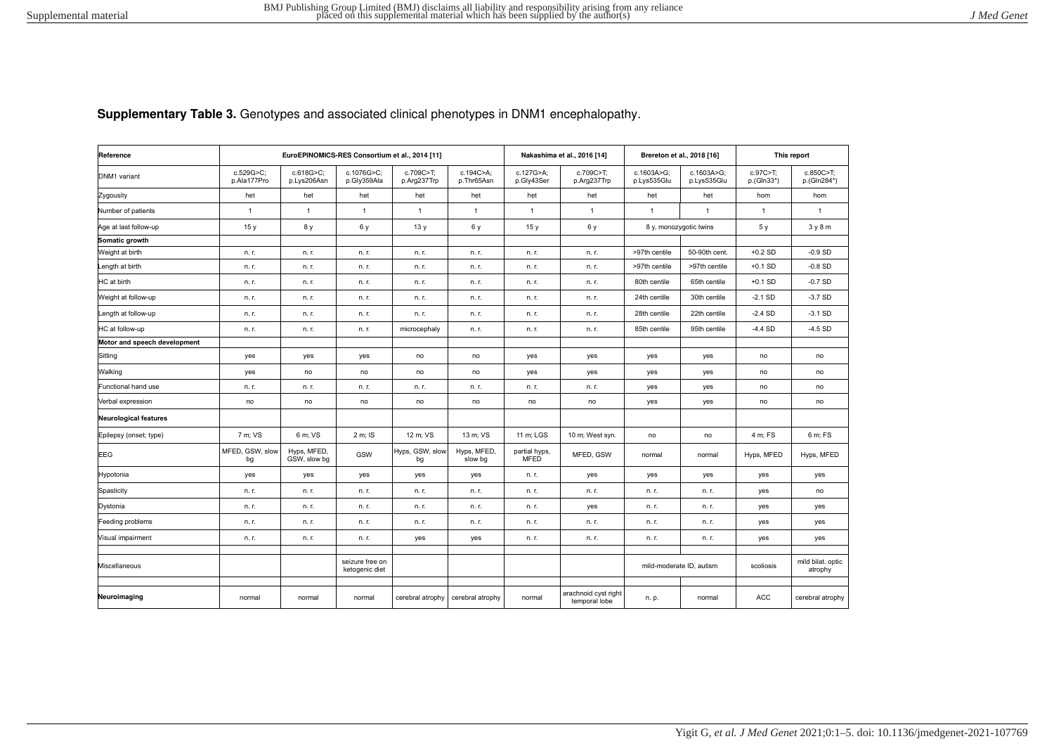**Supplementary Table 3.** Genotypes and associated clinical phenotypes in DNM1 encephalopathy.

| Reference                    |                          | EuroEPINOMICS-RES Consortium et al., 2014 [11] |                                   |                          |                         |                              | Nakashima et al., 2016 [14]           | Brereton et al., 2018 [16] |                           |                        | This report                  |
|------------------------------|--------------------------|------------------------------------------------|-----------------------------------|--------------------------|-------------------------|------------------------------|---------------------------------------|----------------------------|---------------------------|------------------------|------------------------------|
| DNM1 variant                 | c.529G>C;<br>p.Ala177Pro | c.618G>C;<br>p.Lys206Asn                       | c.1076G>C;<br>p.Gly359Ala         | c.709C>T;<br>p.Arg237Trp | c.194C>A;<br>p.Thr65Asn | c.127G>A;<br>p.Gly43Ser      | c.709C>T;<br>p.Arg237Trp              | c.1603A>G;<br>p.Lys535Glu  | c.1603A>G;<br>p.Lys535Glu | c.97C>T;<br>p.(Gln33*) | c.850C>T;<br>p.(Gln284*)     |
| Zygousity                    | het                      | het                                            | het                               | het                      | het                     | het                          | het                                   | het                        | het                       | hom                    | hom                          |
| Number of patients           | $\mathbf{1}$             | $\mathbf{1}$                                   | $\mathbf{1}$                      | $\mathbf{1}$             | $\mathbf{1}$            | $\mathbf{1}$                 | $\mathbf{1}$                          | $\mathbf{1}$               | $\mathbf{1}$              | $\mathbf{1}$           | $\overline{1}$               |
| Age at last follow-up        | 15y                      | 8 y                                            | 6 y                               | 13y                      | 6 y                     | 15y                          | 6 y                                   | 8 y, monozygotic twins     |                           | 5 y                    | 3y8m                         |
| Somatic growth               |                          |                                                |                                   |                          |                         |                              |                                       |                            |                           |                        |                              |
| Weight at birth              | n. r.                    | n. r.                                          | n. r.                             | n. r.                    | n. r.                   | n. r.                        | n. r.                                 | >97th centile              | 50-90th cent.             | $+0.2$ SD              | $-0.9$ SD                    |
| Length at birth              | n. r.                    | n. r.                                          | n. r.                             | n. r.                    | n. r.                   | n. r.                        | n. r.                                 | >97th centile              | >97th centile             | $+0.1$ SD              | $-0.8$ SD                    |
| HC at birth                  | n. r.                    | n. r.                                          | n. r.                             | n. r.                    | n. r.                   | n. r.                        | n. r.                                 | 80th centile               | 65th centile              | $+0.1$ SD              | $-0.7SD$                     |
| Weight at follow-up          | n. r.                    | n. r.                                          | n. r.                             | n. r.                    | n. r.                   | n. r.                        | n. r.                                 | 24th centile               | 30th centile              | $-2.1$ SD              | $-3.7SD$                     |
| Length at follow-up          | n. r.                    | n. r.                                          | n. r.                             | n. r.                    | n. r.                   | n. r.                        | n. r.                                 | 28th centile               | 22th centile              | $-2.4$ SD              | $-3.1$ SD                    |
| HC at follow-up              | n. r.                    | n. r.                                          | n. r.                             | microcephaly             | n. r.                   | n. r.                        | n. r.                                 | 85th centile               | 95th centile              | $-4.4$ SD              | $-4.5$ SD                    |
| Motor and speech development |                          |                                                |                                   |                          |                         |                              |                                       |                            |                           |                        |                              |
| Sitting                      | yes                      | yes                                            | yes                               | no                       | no                      | yes                          | yes                                   | yes                        | yes                       | no                     | no                           |
| Walking                      | yes                      | no                                             | no                                | no                       | no                      | yes                          | yes                                   | yes                        | yes                       | no                     | no                           |
| Functional hand use          | n. r.                    | n. r.                                          | n. r.                             | n. r.                    | n. r.                   | n. r.                        | n. r.                                 | yes                        | yes                       | no                     | no                           |
| Verbal expression            | no                       | no                                             | no                                | no                       | no                      | no                           | no                                    | yes                        | yes                       | no                     | no                           |
| <b>Neurological features</b> |                          |                                                |                                   |                          |                         |                              |                                       |                            |                           |                        |                              |
| Epilepsy (onset; type)       | 7 m; VS                  | 6 m: VS                                        | 2 m; IS                           | 12 m: VS                 | 13 m; VS                | 11 m; LGS                    | 10 m; West syn.                       | no                         | no                        | 4 m; FS                | 6 m: FS                      |
| <b>EEG</b>                   | MFED, GSW, slow<br>bg    | Hyps, MFED,<br>GSW, slow bg                    | GSW                               | Hyps, GSW, slow<br>bg    | Hyps, MFED,<br>slow bg  | partial hyps,<br><b>MFED</b> | MFED. GSW                             | normal                     | normal                    | Hyps, MFED             | Hyps, MFED                   |
| Hypotonia                    | yes                      | yes                                            | yes                               | yes                      | yes                     | n. r.                        | yes                                   | yes                        | yes                       | yes                    | yes                          |
| Spasticity                   | n. r.                    | n. r.                                          | n. r.                             | n. r.                    | n. r.                   | n. r.                        | n. r.                                 | n. r.                      | n. r.                     | yes                    | no                           |
| Dystonia                     | n. r.                    | n. r.                                          | n. r.                             | n. r.                    | n. r.                   | n. r.                        | yes                                   | n. r.                      | n. r.                     | yes                    | yes                          |
| Feeding problems             | n. r.                    | n. r.                                          | n. r.                             | n. r.                    | n. r.                   | n. r.                        | n. r.                                 | n. r.                      | n. r.                     | yes                    | yes                          |
| Visual impairment            | n. r.                    | n. r.                                          | n. r.                             | yes                      | yes                     | n. r.                        | n. r.                                 | n. r.                      | n. r.                     | yes                    | yes                          |
| Miscellaneous                |                          |                                                | seizure free on<br>ketogenic diet |                          |                         |                              |                                       | mild-moderate ID, autism   |                           | scoliosis              | mild bilat. optic<br>atrophy |
|                              |                          |                                                |                                   |                          |                         |                              |                                       |                            |                           |                        |                              |
| Neuroimaging                 | normal                   | normal                                         | normal                            | cerebral atrophy         | cerebral atrophy        | normal                       | arachnoid cyst right<br>temporal lobe | n. p.                      | normal                    | <b>ACC</b>             | cerebral atrophy             |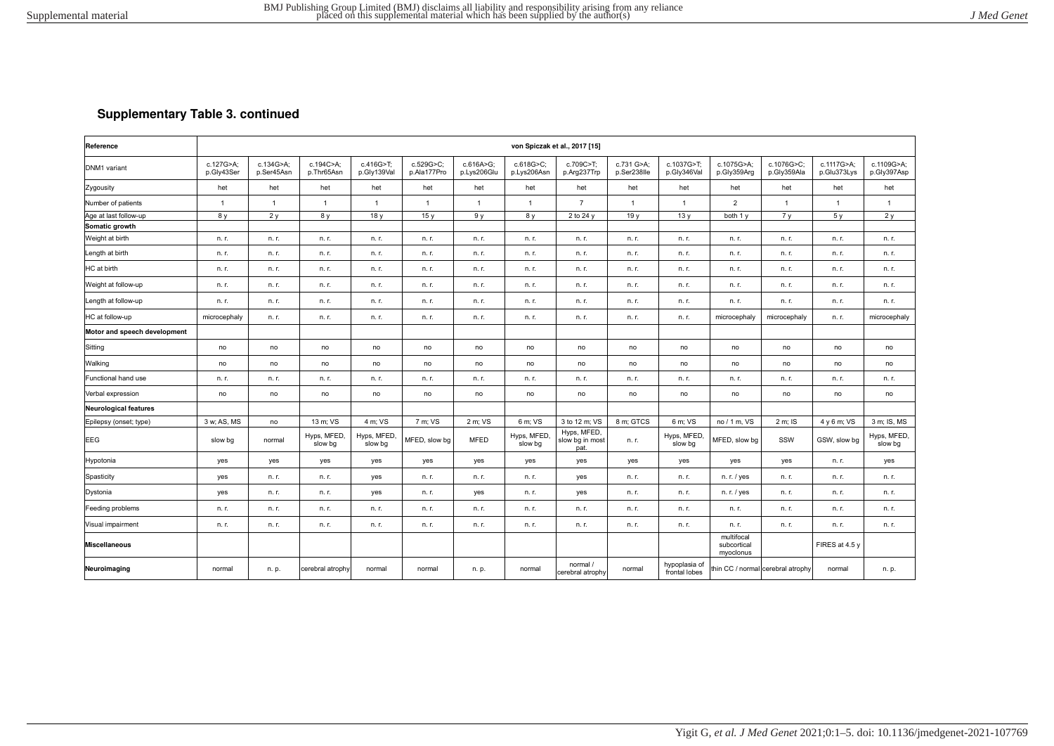## **Supplementary Table 3. continued**

| Reference                    |                         |                         |                         |                          |                          |                          |                          | von Spiczak et al., 2017 [15]          |                           |                                |                                        |                                   |                           |                           |
|------------------------------|-------------------------|-------------------------|-------------------------|--------------------------|--------------------------|--------------------------|--------------------------|----------------------------------------|---------------------------|--------------------------------|----------------------------------------|-----------------------------------|---------------------------|---------------------------|
| DNM1 variant                 | c.127G>A:<br>p.Gly43Ser | c.134G>A:<br>p.Ser45Asn | c.194C>A:<br>p.Thr65Asn | c.416G>T:<br>p.Gly139Val | c.529G>C:<br>p.Ala177Pro | c.616A>G:<br>p.Lys206Glu | c.618G>C:<br>p.Lys206Asn | c.709C>T:<br>p.Arg237Trp               | c.731 G>A:<br>p.Ser238lle | c.1037G>T:<br>p.Gly346Val      | c.1075G>A:<br>p.Gly359Arg              | c.1076G>C:<br>p.Gly359Ala         | c.1117G>A:<br>p.Glu373Lys | c.1109G>A:<br>p.Gly397Asp |
| Zygousity                    | het                     | het                     | het                     | het                      | het                      | het                      | het                      | het                                    | het                       | het                            | het                                    | het                               | het                       | het                       |
| Number of patients           | $\overline{1}$          | $\overline{1}$          | $\overline{1}$          | $\overline{1}$           | $\mathbf{1}$             | $\mathbf{1}$             | $\overline{1}$           | $\overline{7}$                         | $\overline{1}$            | 1                              | $\overline{2}$                         | $\overline{1}$                    | -1                        | $\overline{1}$            |
| Age at last follow-up        | 8 y                     | 2v                      | 8 y                     | 18 <sub>V</sub>          | 15v                      | 9 y                      | 8 y                      | 2 to 24 $y$                            | 19 <sub>V</sub>           | 13y                            | both 1 y                               | 7 <sub>V</sub>                    | 5v                        | 2v                        |
| Somatic growth               |                         |                         |                         |                          |                          |                          |                          |                                        |                           |                                |                                        |                                   |                           |                           |
| Weight at birth              | n. r.                   | n. r.                   | n. r.                   | n. r.                    | n. r.                    | n. r.                    | n. r.                    | n. r.                                  | n. r.                     | n. r.                          | n. r.                                  | n. r.                             | n. r.                     | n. r.                     |
| Length at birth              | n. r.                   | n. r.                   | n. r.                   | n. r.                    | n. r.                    | n. r.                    | n. r.                    | n. r.                                  | n. r.                     | n. r.                          | n. r.                                  | n. r.                             | n. r.                     | n. r.                     |
| HC at birth                  | n. r.                   | n. r.                   | n. r.                   | n. r.                    | n. r.                    | n. r.                    | n. r.                    | n. r.                                  | n. r.                     | n. r.                          | n. r.                                  | n. r.                             | n. r.                     | n. r.                     |
| Weight at follow-up          | n. r.                   | n. r.                   | n. r.                   | n. r.                    | n. r.                    | n. r.                    | n. r.                    | n. r.                                  | n. r.                     | n. r.                          | n. r.                                  | n. r.                             | n. r.                     | n. r.                     |
| Length at follow-up          | n. r.                   | n. r.                   | n. r.                   | n. r.                    | n. r.                    | n. r.                    | n. r.                    | n. r.                                  | n. r.                     | n. r.                          | n. r.                                  | n. r.                             | n. r.                     | n. r.                     |
| HC at follow-up              | microcephaly            | n. r.                   | n. r.                   | n. r.                    | n. r.                    | n. r.                    | n. r.                    | n. r.                                  | n. r.                     | n. r.                          | microcephaly                           | microcephaly                      | n. r.                     | microcephaly              |
| Motor and speech development |                         |                         |                         |                          |                          |                          |                          |                                        |                           |                                |                                        |                                   |                           |                           |
| Sitting                      | no                      | no                      | no                      | no                       | no                       | no                       | no                       | no                                     | no                        | no                             | no                                     | no                                | no                        | no                        |
| Walking                      | no                      | no                      | no                      | no                       | no                       | no                       | no                       | no                                     | no                        | no                             | no                                     | no                                | no                        | no                        |
| Functional hand use          | n. r.                   | n. r.                   | n. r.                   | n. r.                    | n. r.                    | n. r.                    | n. r.                    | n. r.                                  | n. r.                     | n. r.                          | n. r.                                  | n. r.                             | n. r.                     | n. r.                     |
| Verbal expression            | no                      | no                      | no                      | no                       | no                       | no                       | no                       | no                                     | no                        | no                             | no                                     | no                                | no                        | no                        |
| <b>Neurological features</b> |                         |                         |                         |                          |                          |                          |                          |                                        |                           |                                |                                        |                                   |                           |                           |
| Epilepsy (onset; type)       | 3 w; AS, MS             | no                      | 13 m; VS                | 4 m: VS                  | 7 m; VS                  | 2 m: VS                  | 6 m: VS                  | 3 to 12 m; VS                          | 8 m: GTCS                 | 6 m: VS                        | no / 1 m, VS                           | 2 m; IS                           | 4 y 6 m; VS               | 3 m: IS. MS               |
| EEG                          | slow bg                 | normal                  | Hyps, MFED,<br>slow bg  | Hyps, MFED,<br>slow bg   | MFED, slow bg            | <b>MFED</b>              | Hyps, MFED,<br>slow bg   | Hyps, MFED,<br>slow bg in most<br>pat. | n. r.                     | Hyps, MFED,<br>slow bg         | MFED, slow bg                          | SSW                               | GSW, slow bg              | Hyps, MFED,<br>slow bg    |
| Hypotonia                    | yes                     | yes                     | yes                     | yes                      | yes                      | yes                      | yes                      | yes                                    | yes                       | yes                            | yes                                    | yes                               | n. r.                     | yes                       |
| Spasticity                   | yes                     | n. r.                   | n. r.                   | yes                      | n. r.                    | n. r.                    | n. r.                    | yes                                    | n. r.                     | n. r.                          | n. r. / yes                            | n. r.                             | n. r.                     | n. r.                     |
| Dystonia                     | yes                     | n. r.                   | n. r.                   | yes                      | n. r.                    | yes                      | n. r.                    | yes                                    | n. r.                     | n. r.                          | n. r. / yes                            | n. r.                             | n. r.                     | n. r.                     |
| Feeding problems             | n. r.                   | n. r.                   | n. r.                   | n. r.                    | n. r.                    | n. r.                    | n. r.                    | n. r.                                  | n. r.                     | n. r.                          | n. r.                                  | n. r.                             | n. r.                     | n. r.                     |
| Visual impairment            | n. r.                   | n. r.                   | n. r.                   | n. r.                    | n. r.                    | n. r.                    | n. r.                    | n. r.                                  | n. r.                     | n. r.                          | n. r.                                  | n. r.                             | n. r.                     | n. r.                     |
| <b>Miscellaneous</b>         |                         |                         |                         |                          |                          |                          |                          |                                        |                           |                                | multifocal<br>subcortical<br>myoclonus |                                   | FIRES at 4.5 y            |                           |
| Neuroimaging                 | normal                  | n. p.                   | cerebral atrophy        | normal                   | normal                   | n. p.                    | normal                   | normal /<br>cerebral atrophy           | normal                    | hypoplasia of<br>frontal lobes |                                        | thin CC / normal cerebral atrophy | normal                    | n. p.                     |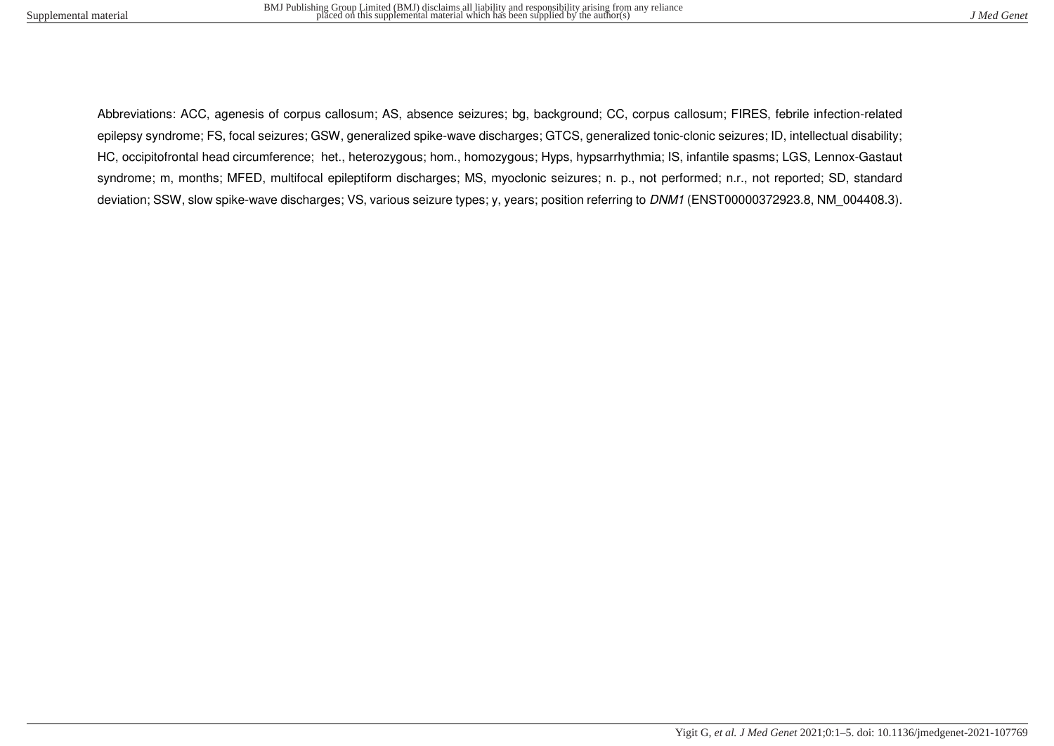Abbreviations: ACC, agenesis of corpus callosum; AS, absence seizures; bg, background; CC, corpus callosum; FIRES, febrile infection-related epilepsy syndrome; FS, focal seizures; GSW, generalized spike-wave discharges; GTCS, generalized tonic-clonic seizures; ID, intellectual disability; HC, occipitofrontal head circumference; het., heterozygous; hom., homozygous; Hyps, hypsarrhythmia; IS, infantile spasms; LGS, Lennox-Gastaut syndrome; m, months; MFED, multifocal epileptiform discharges; MS, myoclonic seizures; n. p., not performed; n.r., not reported; SD, standard deviation; SSW, slow spike-wave discharges; VS, various seizure types; y, years; position referring to DNM1 (ENST00000372923.8, NM 004408.3).